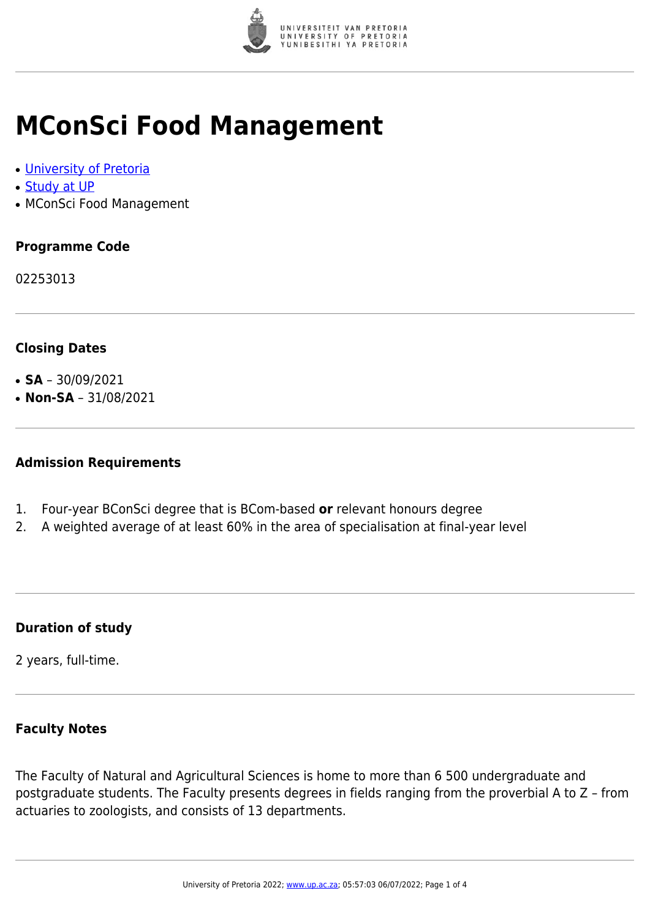

## **MConSci Food Management**

- [University of Pretoria](https://www.up.ac.za/home)
- [Study at UP](https://www.up.ac.za/programmes)
- MConSci Food Management

### **Programme Code**

02253013

#### **Closing Dates**

- $\cdot$  **SA** 30/09/2021
- $\cdot$  **Non-SA** 31/08/2021

#### **Admission Requirements**

- 1. Four-year BConSci degree that is BCom-based **or** relevant honours degree
- 2. A weighted average of at least 60% in the area of specialisation at final-year level

#### **Duration of study**

2 years, full-time.

#### **Faculty Notes**

The Faculty of Natural and Agricultural Sciences is home to more than 6 500 undergraduate and postgraduate students. The Faculty presents degrees in fields ranging from the proverbial A to Z – from actuaries to zoologists, and consists of 13 departments.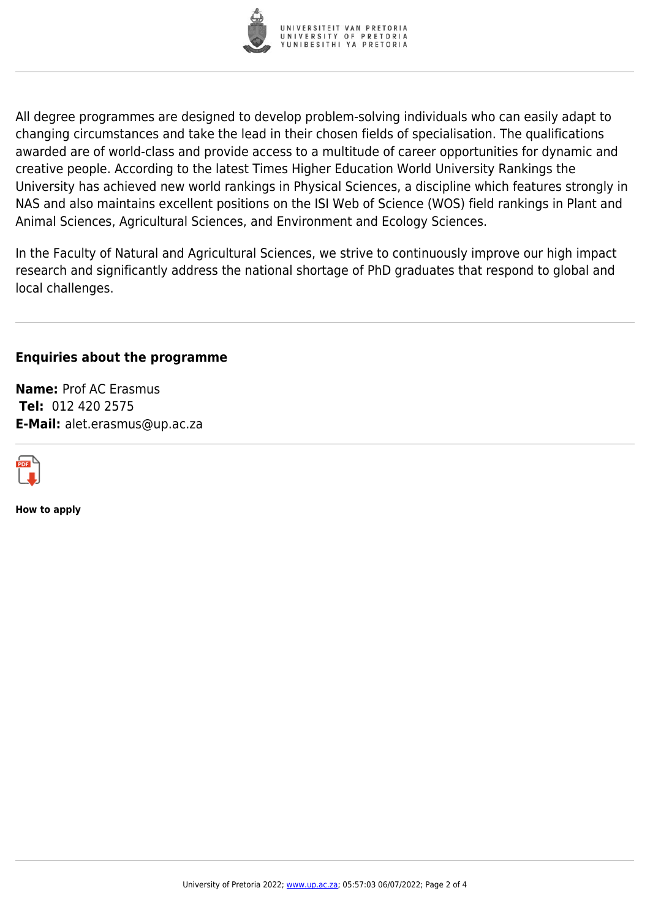

All degree programmes are designed to develop problem-solving individuals who can easily adapt to changing circumstances and take the lead in their chosen fields of specialisation. The qualifications awarded are of world-class and provide access to a multitude of career opportunities for dynamic and creative people. According to the latest Times Higher Education World University Rankings the University has achieved new world rankings in Physical Sciences, a discipline which features strongly in NAS and also maintains excellent positions on the ISI Web of Science (WOS) field rankings in Plant and Animal Sciences, Agricultural Sciences, and Environment and Ecology Sciences.

In the Faculty of Natural and Agricultural Sciences, we strive to continuously improve our high impact research and significantly address the national shortage of PhD graduates that respond to global and local challenges.

#### **Enquiries about the programme**

**Name:** Prof AC Erasmus **Tel:** 012 420 2575 **E-Mail:** alet.erasmus@up.ac.za



**How to apply**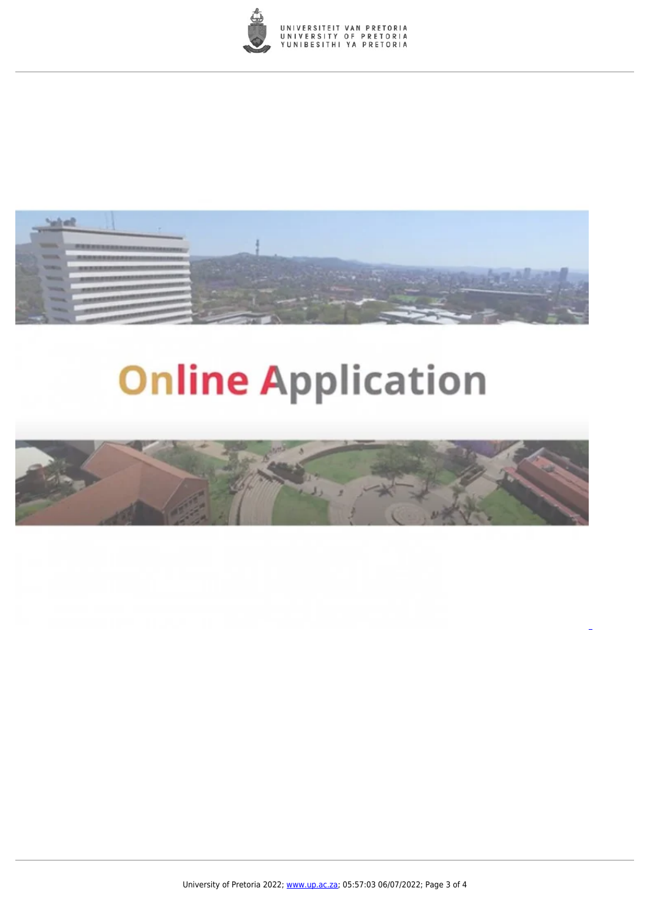



# **Online Application**